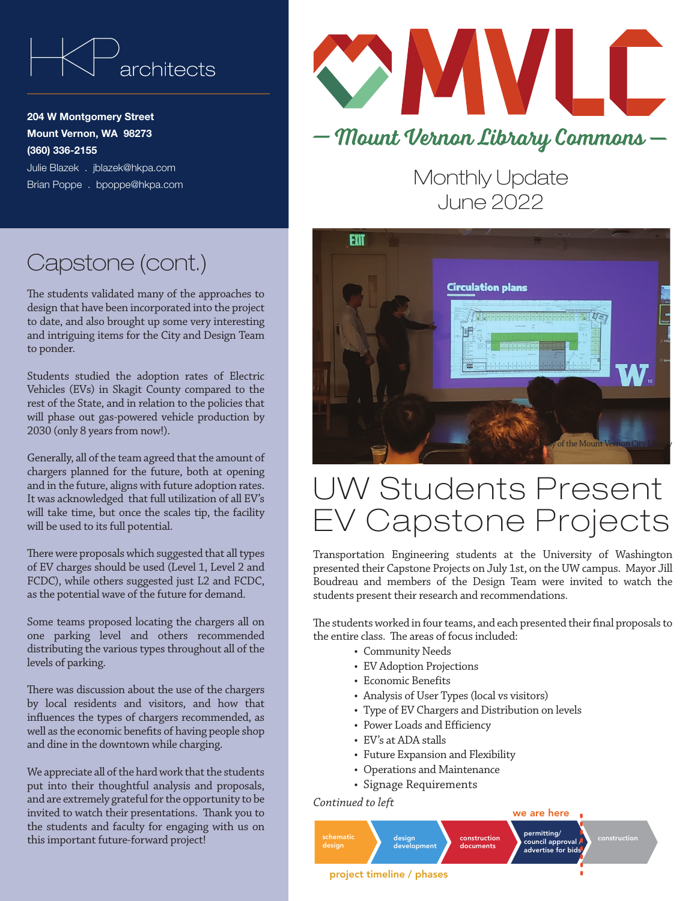

204 W Montgomery Street Mount Vernon, WA 98273 (360) 336-2155 Julie Blazek . jblazek@hkpa.com Brian Poppe . bpoppe@hkpa.com



Monthly Update June 2022



## UW Students Present EV Capstone Projects

Transportation Engineering students at the University of Washington presented their Capstone Projects on July 1st, on the UW campus. Mayor Jill Boudreau and members of the Design Team were invited to watch the students present their research and recommendations.

The students worked in four teams, and each presented their final proposals to the entire class. The areas of focus included:

- Community Needs
- EV Adoption Projections
- Economic Benefits
- Analysis of User Types (local vs visitors)
- Type of EV Chargers and Distribution on levels
- Power Loads and Efficiency
- EV's at ADA stalls
- Future Expansion and Flexibility
- Operations and Maintenance
- Signage Requirements

*Continued to left*



## Capstone (cont.)

The students validated many of the approaches to design that have been incorporated into the project to date, and also brought up some very interesting and intriguing items for the City and Design Team to ponder.

Students studied the adoption rates of Electric Vehicles (EVs) in Skagit County compared to the rest of the State, and in relation to the policies that will phase out gas-powered vehicle production by 2030 (only 8 years from now!).

Generally, all of the team agreed that the amount of chargers planned for the future, both at opening and in the future, aligns with future adoption rates. It was acknowledged that full utilization of all EV's will take time, but once the scales tip, the facility will be used to its full potential.

There were proposals which suggested that all types of EV charges should be used (Level 1, Level 2 and FCDC), while others suggested just L2 and FCDC, as the potential wave of the future for demand.

Some teams proposed locating the chargers all on one parking level and others recommended distributing the various types throughout all of the levels of parking.

There was discussion about the use of the chargers by local residents and visitors, and how that influences the types of chargers recommended, as well as the economic benefits of having people shop and dine in the downtown while charging.

We appreciate all of the hard work that the students put into their thoughtful analysis and proposals, and are extremely grateful for the opportunity to be invited to watch their presentations. Thank you to the students and faculty for engaging with us on this important future-forward project!